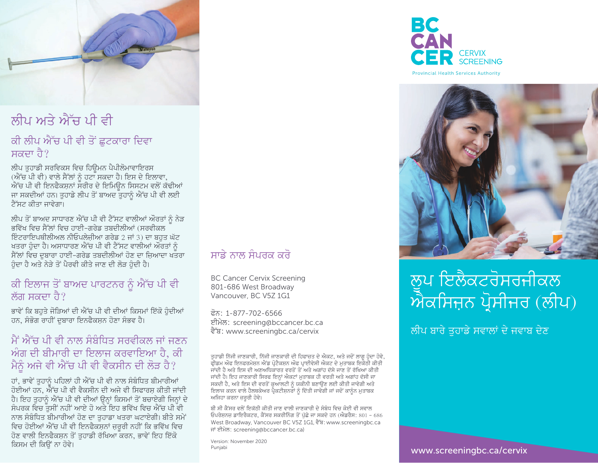

### ਲੀਪ ਅਤੇ ਐੱਚ ਪੀ ਵੀ

#### ਕੀ ਲੀਪ ਐੱਚ ਪੀ ਵੀ ਤੋਂ ਛੁਟਕਾਰਾ ਦਿਵਾ ਸਕਦਾ ਹੈ?

ਲੀਪ ਤੁਹਾਡੀ ਸਰਵਿਕਸ ਵਿਚ ਹਿਊਮਨ ਪੈਪੀਲੋਮਾਵਾਇਰਸ (ਐੱਚ ਪੀ ਵੀ) ਵਾਲੇ ਸੈੱਲਾਂ ਨੂੰ ਹਟਾ ਸਕਦਾ ਹੈ। ਇਸ ਦੇ ਇਲਾਵਾ, ਐੱਚ ਪੀ ਵੀ ਇਨਫੈਕਸਨਾਂ ਸਰੀਰ ਦੇ ਇਮਿੳਨ ਸਿਸਟਮ ਵਲੋਂ ਕੱਢੀਆਂ ਜਾ ਸਕਦੀਆਂ ਹਨ। ਤਹਾਡੇ ਲੀਪ ਤੋਂ ਬਾਅਦ ਤਹਾਨੰ ਐੱਚ ਪੀ ਵੀ ਲਈ ਟੈੱਸਟ ਕੀਤਾ ਜਾਵੇਗਾ।

ਲੀਪ ਤੋਂ ਬਾਅਦ ਸਾਧਾਰਣ ਐੱਚ ਪੀ ਵੀ ਟੈੱਸਟ ਵਾਲੀਆਂ ਔਰਤਾਂ ਨੰ ਨੇੜ ਭਵਿੱਖ ਵਿਚ ਸੈੱਲਾਂ ਵਿਚ ਹਾਈ-ਗਰੇਡ ਤਬਦੀਲੀਆਂ (ਸਰਵੀਕਲ ਇੰਟਰਾਇਪਥੀਲੀਅਲ ਨੀਓਪਲੇਜ਼ੀਆ ਗਰੇਡ 2 ਜਾਂ 3) ਦਾ ਬਹਤ ਘੱਟ ਖਤਰਾ ਹੁੰਦਾ ਹੈ। ਅਸਾਧਾਰਣ ਐੱਚ ਪੀ ਵੀ ਟੈੱਸਟ ਵਾਲੀਆਂ ਔਰਤਾਂ ਨੂੰ ਸੈੱਲਾਂ ਵਿਚ ਦਬਾਰਾ ਹਾਈ-ਗਰੇਡ ਤਬਦੀਲੀਆਂ ਹੋਣ ਦਾ ਜ਼ਿਆਦਾ ਖਤਰਾ ਹੰਦਾ ਹੈ ਅਤੇ ਨੇੜੇ ਤੋਂ ਪੈਰਵੀ ਕੀਤੇ ਜਾਣ ਦੀ ਲੋੜ ਹੰਦੀ ਹੈ।

#### ਕੀ ਇਲਾਜ ਤੋਂ ਬਾਅਦ ਪਾਰਟਨਰ ਨੂੰ ਐੱਚ ਪੀ ਵੀ ਲੱਗ ਸਕਦਾ ਹੈ?

ਭਾਵੇਂ ਕਿ ਬਹਤੇ ਜੋੜਿਆਂ ਦੀ ਐੱਚ ਪੀ ਵੀ ਦੀਆਂ ਕਿਸਮਾਂ ਇੱਕੋ ਹੁੰਦੀਆਂ ਹਨ, ਸੰਭੋਗ ਰਾਹੀਂ ਦਬਾਰਾ ਇਨਫੈਕਸ਼ਨ ਹੋਣਾ ਸੰਭਵ ਹੈ।

#### ਮੈਂ ਐੱਚ ਪੀ ਵੀ ਨਾਲ ਸੰਬੰਧਿਤ ਸਰਵੀਕਲ ਜਾਂ ਜਣਨ ਅੰਗ ਦੀ ਬੀਮਾਰੀ ਦਾ ਇਲਾਜ ਕਰਵਾਇਆ ਹੈ, ਕੀ ਮੈਨੂੰ ਅਜੇ ਵੀ ਐੱਚ ਪੀ ਵੀ ਵੈਕਸੀਨ ਦੀ ਲੋੜ ਹੈ?

ਹਾਂ, ਭਾਵੇਂ ਤਹਾਨੂੰ ਪਹਿਲਾਂ ਹੀ ਐੱਚ ਪੀ ਵੀ ਨਾਲ ਸੰਬੰਧਿਤ ਬੀਮਾਰੀਆਂ ਹੋਈਆਂ ਹਨ. ਐੈੱਚ ਪੀ ਵੀ ਵੈਕਸੀਨ ਦੀ ਅਜੇ ਵੀ ਸਿਫਾਰਸ ਕੀਤੀ ਜਾਂਦੀ ਹੈ। ਇਹ ਤਹਾਨੂੰ ਐੱਚ ਪੀ ਵੀ ਦੀਆਂ ਉਨ੍ਹਾਂ ਕਿਸਮਾਂ ਤੋਂ ਬਚਾਏਗੀ ਜਿਨ੍ਹਾਂ ਦੇ ਸੰਪਰਕ ਵਿਚ ਤਸੀਂ ਨਹੀਂ ਆਏ ਹੋ ਅਤੇ ਇਹ ਭਵਿੱਖ ਵਿਚ ਐੱਚ ਪੀ ਵੀ ਨਾਲ ਸੰਬੰਧਿਤ ਬੀਮਾਰੀਆਂ ਹੋਣ ਦਾ ਤੁਹਾਡਾ ਖਤਰਾ ਘਟਾਏਗੀ। ਬੀਤੇ ਸਮੇਂ ਵਿਚ ਹੋਈਆਂ ਐੱਚ ਪੀ ਵੀ ਇਨਫੈਕਸਨਾਂ ਜਰਰੀ ਨਹੀਂ ਕਿ ਭਵਿੱਖ ਵਿਚ ਹੋਣ ਵਾਲੀ ਇਨਫੈਕਸ਼ਨ ਤੋਂ ਤਹਾਡੀ ਰੱਖਿਆ ਕਰਨ, ਭਾਵੇਂ ਇਹ ਇੱਕੋ ਕਿਸਮ ਦੀ ਕਿੳਂ ਨਾ ਹੋਵੇ।

#### ਸਾਡੇ ਨਾਲ ਸੰਪਰਕ ਕਰੋ

**BC Cancer Cervix Screening** 801-686 West Broadway Vancouver, BC V5Z 1G1

ਫ਼ੋਨ: 1-877-702-6566 ਈਮੇਲ: screening@bccancer.bc.ca ਵੈੱਬ: www.screeningbc.ca/cervix

ਤੁਹਾਡੀ ਨਿੱਜੀ ਜਾਣਕਾਰੀ, ਨਿੱਜੀ ਜਾਣਕਾਰੀ ਦੀ ਹਿਫਾਜ਼ਤ ਦੇ ਐਕਟ, ਅਤੇ ਜਦੋਂ ਲਾਗੂ ਹੁੰਦਾ ਹੋਵੇ, ਫ੍ਰੀਡਮ ਔਫ ਇਨਫਰਮੇਸ਼ਨ ਐਂਡ ਪ੍ਰੋਟੈਕਸਨ ਔਫ ਪ੍ਰਾਈਵੇਸੀ ਐਕਟ ਦੇ ਮੁਤਾਬਕ ਇਕੋਠੀ ਕੀਤੀ ਜਾਂਦੀ ਹੈ ਅਤੇ ਇਸ ਦੀ ਅਣਅਧਿਕਾਰਤ ਵਰਤੋਂ ਤੋਂ ਅਤੇ ਅਗਾਂਹ ਦੱਸੇ ਜਾਣ ਤੋਂ ਰੱਖਿਆ ਕੀਤੀ ਜਾਂਦੀ ਹੈ। ਇਹ ਜਾਣਕਾਰੀ ਸਿਰਫ ਇਨ੍ਹਾਂ ਐਕਟਾਂ ਮੁਤਾਬਕ ਹੀ ਵਰਤੀ ਅਤੇ ਅਗਾਂਹ ਦੱਸੀ ਜਾ ਸਕਦੀ ਹੈ, ਅਤੇ ਇਸ ਦੀ ਵਰਤੋਂ ਕੁਆੱਲਟੀ ਨੂੰ ਯਕੀਨੀ ਬਣਾਉਣ ਲਈ ਕੀਤੀ ਜਾਵੇਗੀ ਅਤੇ<br>ਇਲਾਜ ਕਰਨ ਵਾਲੇ ਹੈਲਥਕੇਅਰ ਪ੍ਰੈਕਟੀਸ਼ਨਰਾਂ ਨੂੰ ਦਿੱਤੀ ਜਾਵੇਗੀ ਜਾਂ ਜਦੋਂ ਕਾਨੂੰਨ ਮੁਤਾਬਕ ਅਜਿਹਾ ਕਰਨਾ ਜ਼ਰੂਰੀ ਹੋਵੇ।

ਬੀ ਸੀ ਕੈਂਸਰ ਵਲੋਂ ਇਕੱਠੀ ਕੀਤੀ ਜਾਣ ਵਾਲੀ ਜਾਣਕਾਰੀ ਦੇ ਸੰਬੰਧ ਵਿਚ ਕੋਈ ਵੀ ਸਵਾਲ ਓਪਰੇਸ਼ਨਜ਼ ਡਾਇਰੈਕਟਰ, ਕੈਂਸਰ ਸਕਰੀਨਿੰਗ ਤੋਂ ਪੁੱਛੇ ਜਾ ਸਕਦੇ ਹਨ (ਐਡਰੈਸ: 801 – 686 West Broadway, Vancouver BC V5Z 1G1, दैॉघ: www.screeningbc.ca ਜਾਂ ਈਮੇਲ: screening@bccancer.bc.ca)

Version: November 2020 Puniabi



**Provincial Health Services Authority** 



# ਲਪ ਇਲੈਕਟਰੋਸਰਜੀਕਲ ਐਕਸਿਜ਼ਨ ਪ੍ਰੋਸੀਜਰ (ਲੀਪ)

ਲੀਪ ਬਾਰੇ ਤੁਹਾਡੇ ਸਵਾਲਾਂ ਦੇ ਜਵਾਬ ਦੇਣ

www.screeningbc.ca/cervix